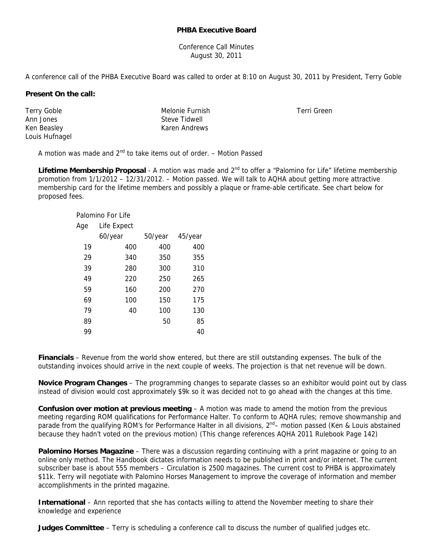## **PHBA Executive Board**

Conference Call Minutes August 30, 2011

A conference call of the PHBA Executive Board was called to order at 8:10 on August 30, 2011 by President, Terry Goble

## **Present On the call:**

Terry Goble Ann Jones Ken Beasley Louis Hufnagel Melonie Furnish Steve Tidwell Karen Andrews

Terri Green

A motion was made and  $2<sup>nd</sup>$  to take items out of order. – Motion Passed

Lifetime Membership Proposal - A motion was made and 2<sup>nd</sup> to offer a "Palomino for Life" lifetime membership promotion from 1/1/2012 – 12/31/2012. – Motion passed. We will talk to AQHA about getting more attractive membership card for the lifetime members and possibly a plaque or frame-able certificate. See chart below for proposed fees.

| Palomino For Life |             |         |         |
|-------------------|-------------|---------|---------|
| Age               | Life Expect |         |         |
|                   | 60/year     | 50/year | 45/year |
| 19                | 400         | 400     | 400     |
| 29                | 340         | 350     | 355     |
| 39                | 280         | 300     | 310     |
| 49                | 220         | 250     | 265     |
| 59                | 160         | 200     | 270     |
| 69                | 100         | 150     | 175     |
| 79                | 40          | 100     | 130     |
| 89                |             | 50      | 85      |
| 99                |             |         | 40      |

**Financials** – Revenue from the world show entered, but there are still outstanding expenses. The bulk of the outstanding invoices should arrive in the next couple of weeks. The projection is that net revenue will be down.

**Novice Program Changes** – The programming changes to separate classes so an exhibitor would point out by class instead of division would cost approximately \$9k so it was decided not to go ahead with the changes at this time.

**Confusion over motion at previous meeting** – A motion was made to amend the motion from the previous meeting regarding ROM qualifications for Performance Halter. To conform to AQHA rules; remove showmanship and parade from the qualifying ROM's for Performance Halter in all divisions, 2<sup>nd</sup>– motion passed (Ken & Louis abstained because they hadn't voted on the previous motion) (This change references AQHA 2011 Rulebook Page 142)

**Palomino Horses Magazine** – There was a discussion regarding continuing with a print magazine or going to an online only method. The Handbook dictates information needs to be published in print and/or internet. The current subscriber base is about 555 members – Circulation is 2500 magazines. The current cost to PHBA is approximately \$11k. Terry will negotiate with Palomino Horses Management to improve the coverage of information and member accomplishments in the printed magazine.

**International** – Ann reported that she has contacts willing to attend the November meeting to share their knowledge and experience

**Judges Committee** – Terry is scheduling a conference call to discuss the number of qualified judges etc.